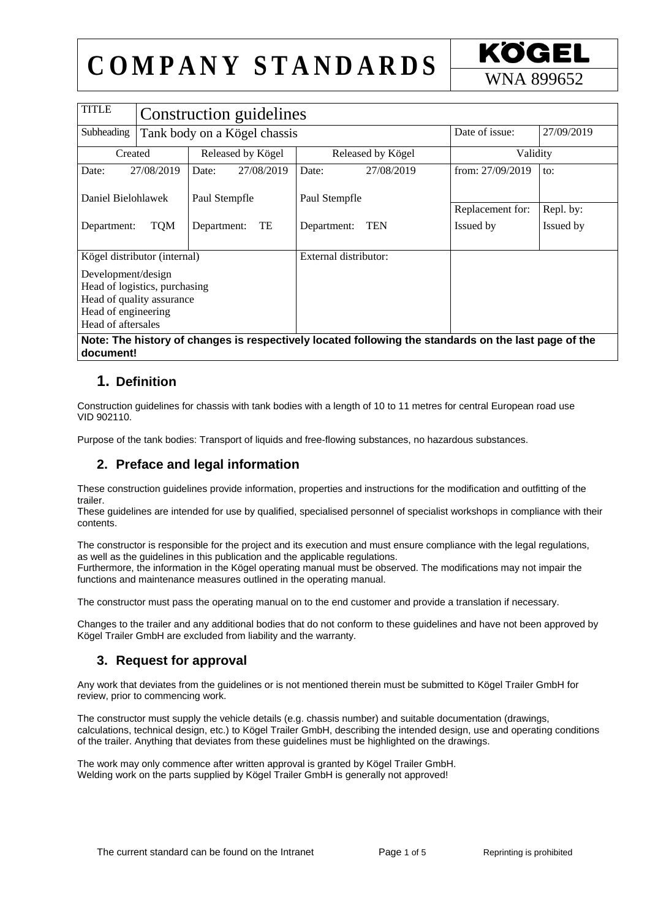## $COMPANY$   $STANDARDS$   $\frac{KOGEL}{WNA 899652}$

| <b>TITLE</b>                                                                                                                  | Construction guidelines      |                   |            |                       |            |                  |            |
|-------------------------------------------------------------------------------------------------------------------------------|------------------------------|-------------------|------------|-----------------------|------------|------------------|------------|
| Subheading                                                                                                                    | Tank body on a Kögel chassis |                   |            |                       |            | Date of issue:   | 27/09/2019 |
| Created                                                                                                                       |                              | Released by Kögel |            | Released by Kögel     |            | Validity         |            |
| Date:<br>27/08/2019                                                                                                           |                              | Date:             | 27/08/2019 | Date:                 | 27/08/2019 | from: 27/09/2019 | to:        |
| Daniel Bielohlawek                                                                                                            |                              | Paul Stempfle     |            | Paul Stempfle         |            | Replacement for: | Repl. by:  |
|                                                                                                                               |                              | TE<br>Department: |            | <b>TEN</b>            |            | Issued by        | Issued by  |
| Department:                                                                                                                   | <b>TQM</b>                   |                   |            | Department:           |            |                  |            |
| Kögel distributor (internal)                                                                                                  |                              |                   |            | External distributor: |            |                  |            |
| Development/design<br>Head of logistics, purchasing<br>Head of quality assurance<br>Head of engineering<br>Head of aftersales |                              |                   |            |                       |            |                  |            |
| Note: The history of changes is respectively located following the standards on the last page of the                          |                              |                   |            |                       |            |                  |            |

**document!**

#### **1. Definition**

Construction guidelines for chassis with tank bodies with a length of 10 to 11 metres for central European road use VID 902110.

Purpose of the tank bodies: Transport of liquids and free-flowing substances, no hazardous substances.

#### **2. Preface and legal information**

These construction guidelines provide information, properties and instructions for the modification and outfitting of the trailer.

These guidelines are intended for use by qualified, specialised personnel of specialist workshops in compliance with their contents.

The constructor is responsible for the project and its execution and must ensure compliance with the legal regulations, as well as the guidelines in this publication and the applicable regulations.

Furthermore, the information in the Kögel operating manual must be observed. The modifications may not impair the functions and maintenance measures outlined in the operating manual.

The constructor must pass the operating manual on to the end customer and provide a translation if necessary.

Changes to the trailer and any additional bodies that do not conform to these guidelines and have not been approved by Kögel Trailer GmbH are excluded from liability and the warranty.

#### **3. Request for approval**

Any work that deviates from the guidelines or is not mentioned therein must be submitted to Kögel Trailer GmbH for review, prior to commencing work.

The constructor must supply the vehicle details (e.g. chassis number) and suitable documentation (drawings, calculations, technical design, etc.) to Kögel Trailer GmbH, describing the intended design, use and operating conditions of the trailer. Anything that deviates from these guidelines must be highlighted on the drawings.

The work may only commence after written approval is granted by Kögel Trailer GmbH. Welding work on the parts supplied by Kögel Trailer GmbH is generally not approved!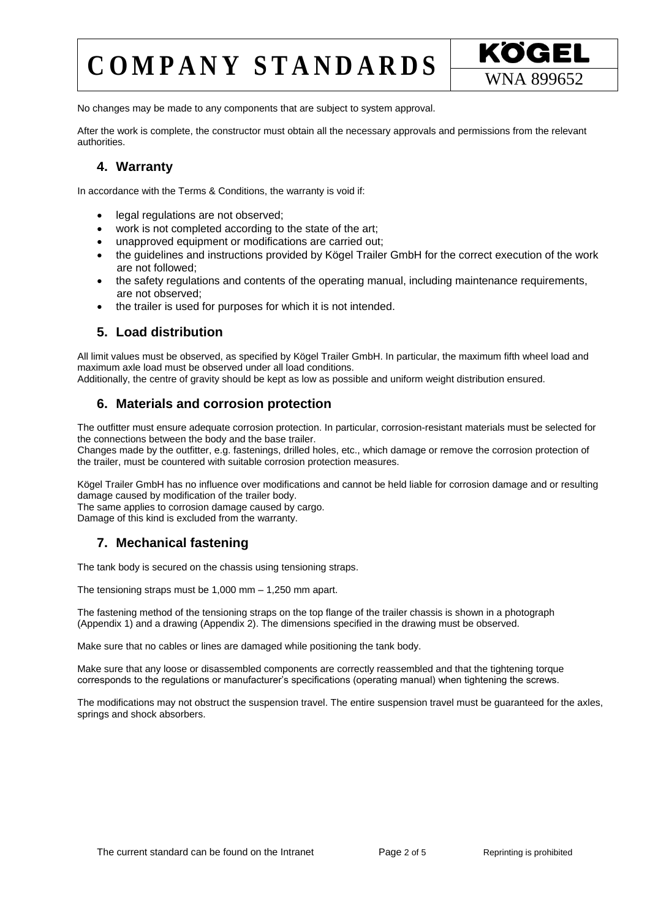## $COMPANY$   $STANDARDS$   $\frac{KOGEL}{WNA 899652}$



No changes may be made to any components that are subject to system approval.

After the work is complete, the constructor must obtain all the necessary approvals and permissions from the relevant authorities.

#### **4. Warranty**

In accordance with the Terms & Conditions, the warranty is void if:

- legal regulations are not observed;
- work is not completed according to the state of the art;
- unapproved equipment or modifications are carried out;
- the guidelines and instructions provided by Kögel Trailer GmbH for the correct execution of the work are not followed;
- the safety regulations and contents of the operating manual, including maintenance requirements, are not observed;
- the trailer is used for purposes for which it is not intended.

#### **5. Load distribution**

All limit values must be observed, as specified by Kögel Trailer GmbH. In particular, the maximum fifth wheel load and maximum axle load must be observed under all load conditions.

Additionally, the centre of gravity should be kept as low as possible and uniform weight distribution ensured.

#### **6. Materials and corrosion protection**

The outfitter must ensure adequate corrosion protection. In particular, corrosion-resistant materials must be selected for the connections between the body and the base trailer.

Changes made by the outfitter, e.g. fastenings, drilled holes, etc., which damage or remove the corrosion protection of the trailer, must be countered with suitable corrosion protection measures.

Kögel Trailer GmbH has no influence over modifications and cannot be held liable for corrosion damage and or resulting damage caused by modification of the trailer body.

The same applies to corrosion damage caused by cargo.

Damage of this kind is excluded from the warranty.

#### **7. Mechanical fastening**

The tank body is secured on the chassis using tensioning straps.

The tensioning straps must be 1,000 mm – 1,250 mm apart.

The fastening method of the tensioning straps on the top flange of the trailer chassis is shown in a photograph (Appendix 1) and a drawing (Appendix 2). The dimensions specified in the drawing must be observed.

Make sure that no cables or lines are damaged while positioning the tank body.

Make sure that any loose or disassembled components are correctly reassembled and that the tightening torque corresponds to the regulations or manufacturer's specifications (operating manual) when tightening the screws.

The modifications may not obstruct the suspension travel. The entire suspension travel must be guaranteed for the axles, springs and shock absorbers.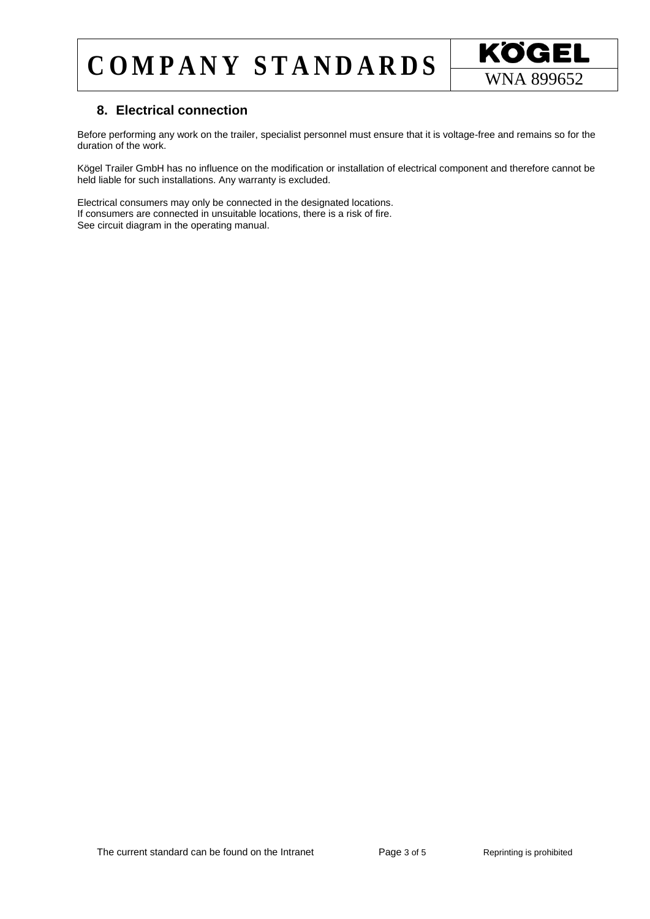## $COMPANY$   $STANDARDS$   $\overline{\text{WNA } 899652}$



#### **8. Electrical connection**

Before performing any work on the trailer, specialist personnel must ensure that it is voltage-free and remains so for the duration of the work.

Kögel Trailer GmbH has no influence on the modification or installation of electrical component and therefore cannot be held liable for such installations. Any warranty is excluded.

Electrical consumers may only be connected in the designated locations. If consumers are connected in unsuitable locations, there is a risk of fire. See circuit diagram in the operating manual.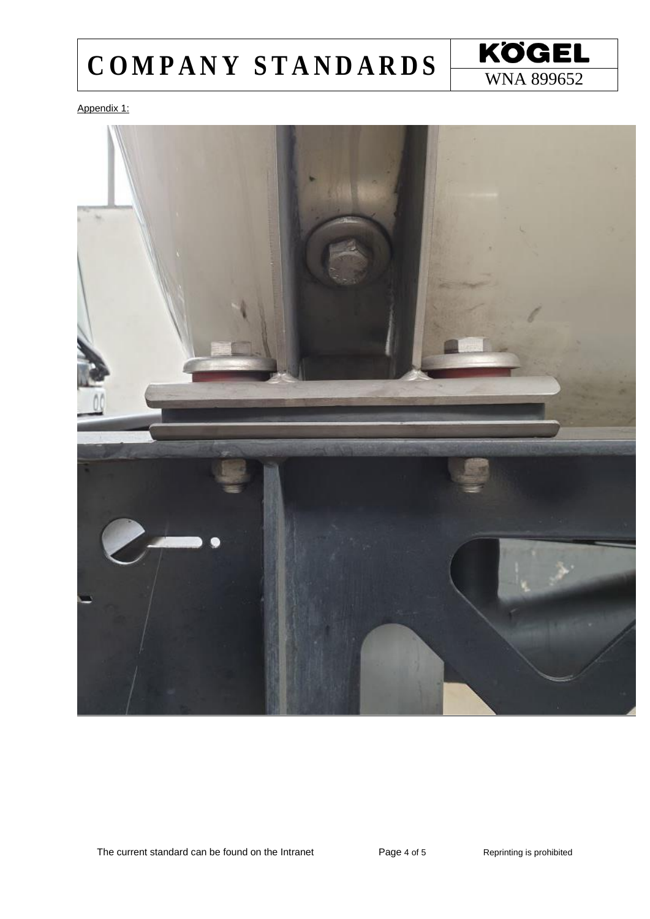# COMPANY STANDARDS WNA 899652



Appendix 1: